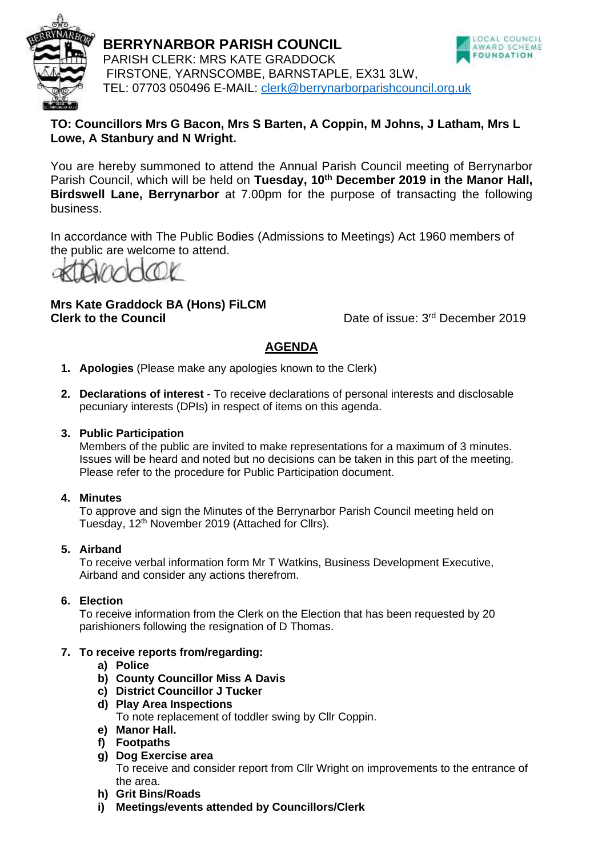

**BERRYNARBOR PARISH COUNCIL** PARISH CLERK: MRS KATE GRADDOCK FIRSTONE, YARNSCOMBE, BARNSTAPLE, EX31 3LW, TEL: 07703 050496 E-MAIL: [clerk@berrynarborparishcouncil.org.uk](mailto:clerk@berrynarborparishcouncil.org.uk)



# **TO: Councillors Mrs G Bacon, Mrs S Barten, A Coppin, M Johns, J Latham, Mrs L Lowe, A Stanbury and N Wright.**

You are hereby summoned to attend the Annual Parish Council meeting of Berrynarbor Parish Council, which will be held on **Tuesday, 10th December 2019 in the Manor Hall, Birdswell Lane, Berrynarbor** at 7.00pm for the purpose of transacting the following business.

In accordance with The Public Bodies (Admissions to Meetings) Act 1960 members of the public are welcome to attend.

# **Mrs Kate Graddock BA (Hons) FiLCM Clerk to the Council**

Date of issue: 3<sup>rd</sup> December 2019

# **AGENDA**

- **1. Apologies** (Please make any apologies known to the Clerk)
- **2. Declarations of interest**  To receive declarations of personal interests and disclosable pecuniary interests (DPIs) in respect of items on this agenda.

### **3. Public Participation**

Members of the public are invited to make representations for a maximum of 3 minutes. Issues will be heard and noted but no decisions can be taken in this part of the meeting. Please refer to the procedure for Public Participation document.

# **4. Minutes**

To approve and sign the Minutes of the Berrynarbor Parish Council meeting held on Tuesday, 12<sup>th</sup> November 2019 (Attached for Cllrs).

# **5. Airband**

To receive verbal information form Mr T Watkins, Business Development Executive, Airband and consider any actions therefrom.

# **6. Election**

To receive information from the Clerk on the Election that has been requested by 20 parishioners following the resignation of D Thomas.

# **7. To receive reports from/regarding:**

- **a) Police**
- **b) County Councillor Miss A Davis**
- **c) District Councillor J Tucker**
- **d) Play Area Inspections** To note replacement of toddler swing by Cllr Coppin. **e) Manor Hall.**
- **f) Footpaths**
- **g) Dog Exercise area** To receive and consider report from Cllr Wright on improvements to the entrance of the area.
- **h) Grit Bins/Roads**
- **i) Meetings/events attended by Councillors/Clerk**